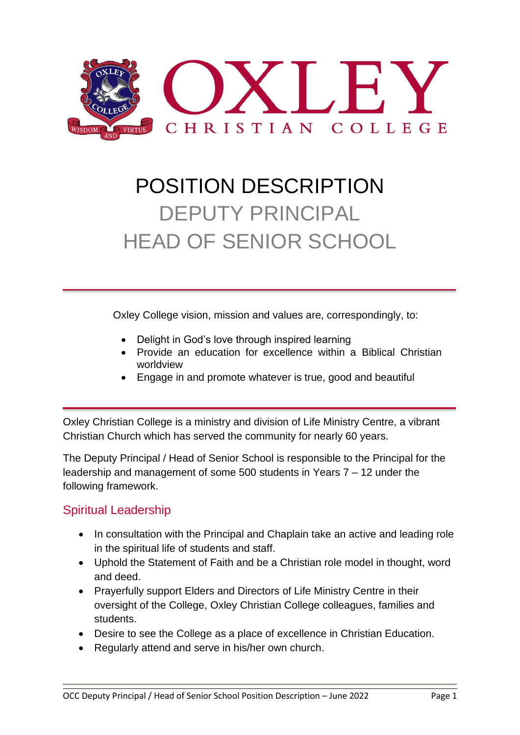

# POSITION DESCRIPTION DEPUTY PRINCIPAL HEAD OF SENIOR SCHOOL

Oxley College vision, mission and values are, correspondingly, to:

- Delight in God's love through inspired learning
- Provide an education for excellence within a Biblical Christian worldview
- Engage in and promote whatever is true, good and beautiful

Oxley Christian College is a ministry and division of Life Ministry Centre, a vibrant Christian Church which has served the community for nearly 60 years.

The Deputy Principal / Head of Senior School is responsible to the Principal for the leadership and management of some 500 students in Years 7 – 12 under the following framework.

### Spiritual Leadership

- In consultation with the Principal and Chaplain take an active and leading role in the spiritual life of students and staff.
- Uphold the Statement of Faith and be a Christian role model in thought, word and deed.
- Prayerfully support Elders and Directors of Life Ministry Centre in their oversight of the College, Oxley Christian College colleagues, families and students.
- Desire to see the College as a place of excellence in Christian Education.
- Regularly attend and serve in his/her own church.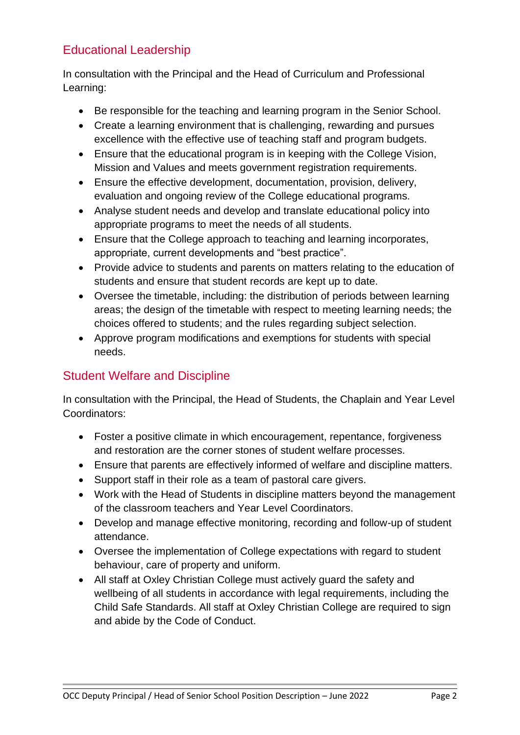### Educational Leadership

In consultation with the Principal and the Head of Curriculum and Professional Learning:

- Be responsible for the teaching and learning program in the Senior School.
- Create a learning environment that is challenging, rewarding and pursues excellence with the effective use of teaching staff and program budgets.
- Ensure that the educational program is in keeping with the College Vision, Mission and Values and meets government registration requirements.
- Ensure the effective development, documentation, provision, delivery, evaluation and ongoing review of the College educational programs.
- Analyse student needs and develop and translate educational policy into appropriate programs to meet the needs of all students.
- Ensure that the College approach to teaching and learning incorporates, appropriate, current developments and "best practice".
- Provide advice to students and parents on matters relating to the education of students and ensure that student records are kept up to date.
- Oversee the timetable, including: the distribution of periods between learning areas; the design of the timetable with respect to meeting learning needs; the choices offered to students; and the rules regarding subject selection.
- Approve program modifications and exemptions for students with special needs.

## Student Welfare and Discipline

In consultation with the Principal, the Head of Students, the Chaplain and Year Level Coordinators:

- Foster a positive climate in which encouragement, repentance, forgiveness and restoration are the corner stones of student welfare processes.
- Ensure that parents are effectively informed of welfare and discipline matters.
- Support staff in their role as a team of pastoral care givers.
- Work with the Head of Students in discipline matters beyond the management of the classroom teachers and Year Level Coordinators.
- Develop and manage effective monitoring, recording and follow-up of student attendance.
- Oversee the implementation of College expectations with regard to student behaviour, care of property and uniform.
- All staff at Oxley Christian College must actively guard the safety and wellbeing of all students in accordance with legal requirements, including the Child Safe Standards. All staff at Oxley Christian College are required to sign and abide by the Code of Conduct.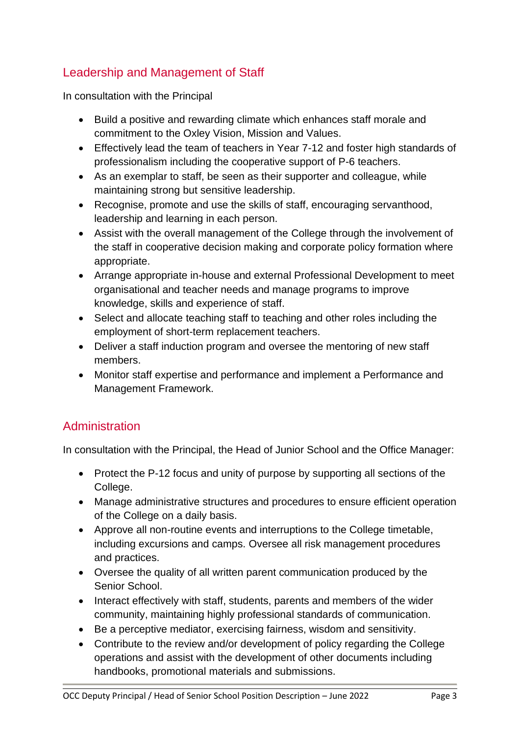## Leadership and Management of Staff

In consultation with the Principal

- Build a positive and rewarding climate which enhances staff morale and commitment to the Oxley Vision, Mission and Values.
- Effectively lead the team of teachers in Year 7-12 and foster high standards of professionalism including the cooperative support of P-6 teachers.
- As an exemplar to staff, be seen as their supporter and colleague, while maintaining strong but sensitive leadership.
- Recognise, promote and use the skills of staff, encouraging servanthood, leadership and learning in each person.
- Assist with the overall management of the College through the involvement of the staff in cooperative decision making and corporate policy formation where appropriate.
- Arrange appropriate in-house and external Professional Development to meet organisational and teacher needs and manage programs to improve knowledge, skills and experience of staff.
- Select and allocate teaching staff to teaching and other roles including the employment of short-term replacement teachers.
- Deliver a staff induction program and oversee the mentoring of new staff members.
- Monitor staff expertise and performance and implement a Performance and Management Framework.

### Administration

In consultation with the Principal, the Head of Junior School and the Office Manager:

- Protect the P-12 focus and unity of purpose by supporting all sections of the College.
- Manage administrative structures and procedures to ensure efficient operation of the College on a daily basis.
- Approve all non-routine events and interruptions to the College timetable, including excursions and camps. Oversee all risk management procedures and practices.
- Oversee the quality of all written parent communication produced by the Senior School.
- Interact effectively with staff, students, parents and members of the wider community, maintaining highly professional standards of communication.
- Be a perceptive mediator, exercising fairness, wisdom and sensitivity.
- Contribute to the review and/or development of policy regarding the College operations and assist with the development of other documents including handbooks, promotional materials and submissions.